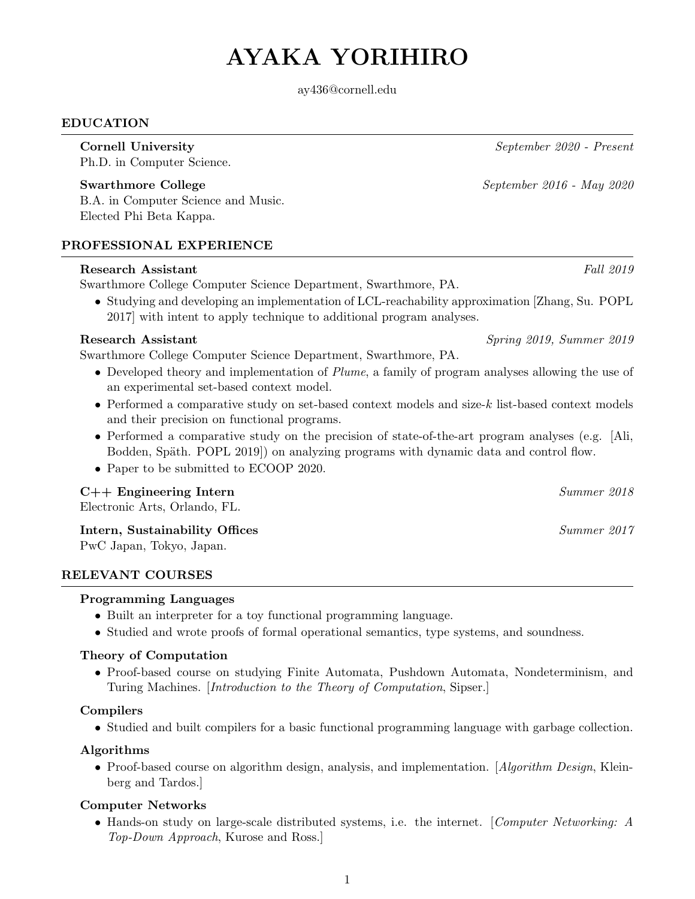# AYAKA YORIHIRO

ay436@cornell.edu

#### EDUCATION

Ph.D. in Computer Science.

## Swarthmore College September 2016 - May 2020

B.A. in Computer Science and Music. Elected Phi Beta Kappa.

## PROFESSIONAL EXPERIENCE

#### Research Assistant Fall 2019

Swarthmore College Computer Science Department, Swarthmore, PA.

• Studying and developing an implementation of LCL-reachability approximation [Zhang, Su. POPL 2017] with intent to apply technique to additional program analyses.

#### Research Assistant Spring 2019, Summer 2019

Swarthmore College Computer Science Department, Swarthmore, PA.

- Developed theory and implementation of Plume, a family of program analyses allowing the use of an experimental set-based context model.
- Performed a comparative study on set-based context models and size-k list-based context models and their precision on functional programs.
- Performed a comparative study on the precision of state-of-the-art program analyses (e.g. [Ali, Bodden, Späth. POPL 2019) on analyzing programs with dynamic data and control flow.
- Paper to be submitted to ECOOP 2020.

#### C++ Engineering Intern Summer 2018

Electronic Arts, Orlando, FL.

#### Intern, Sustainability Offices Summer 2017

PwC Japan, Tokyo, Japan.

#### RELEVANT COURSES

#### Programming Languages

- Built an interpreter for a toy functional programming language.
- Studied and wrote proofs of formal operational semantics, type systems, and soundness.

#### Theory of Computation

• Proof-based course on studying Finite Automata, Pushdown Automata, Nondeterminism, and Turing Machines. [Introduction to the Theory of Computation, Sipser.]

#### Compilers

• Studied and built compilers for a basic functional programming language with garbage collection.

#### Algorithms

• Proof-based course on algorithm design, analysis, and implementation. [Algorithm Design, Kleinberg and Tardos.]

## Computer Networks

• Hands-on study on large-scale distributed systems, i.e. the internet. [Computer Networking: A Top-Down Approach, Kurose and Ross.]

Cornell University September 2020 - Present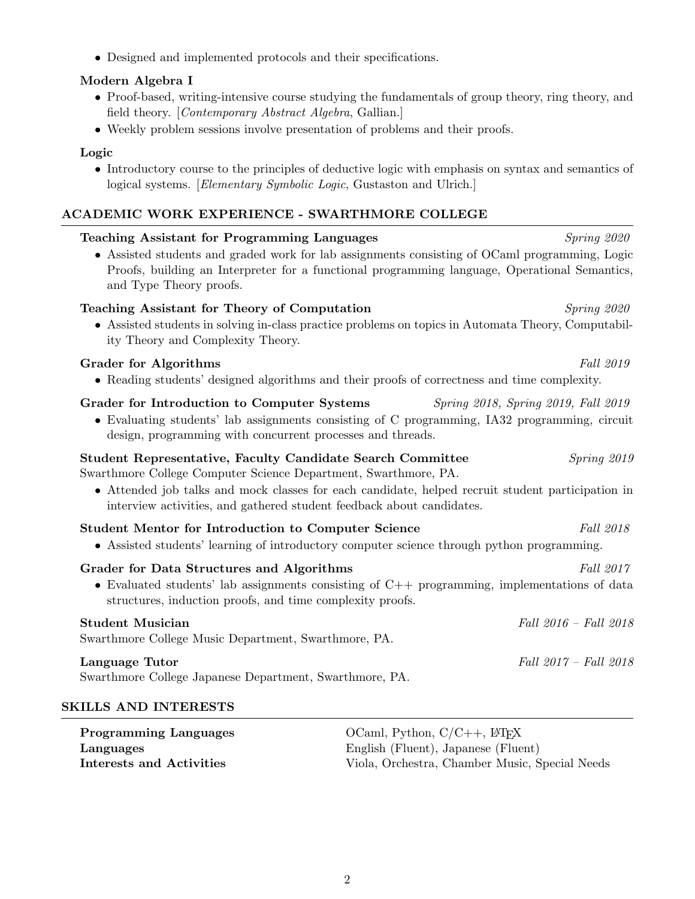• Designed and implemented protocols and their specifications.

## Modern Algebra I

- Proof-based, writing-intensive course studying the fundamentals of group theory, ring theory, and field theory. [Contemporary Abstract Algebra, Gallian.]
- Weekly problem sessions involve presentation of problems and their proofs.

## Logic

• Introductory course to the principles of deductive logic with emphasis on syntax and semantics of logical systems. [Elementary Symbolic Logic, Gustaston and Ulrich.]

## ACADEMIC WORK EXPERIENCE - SWARTHMORE COLLEGE

| <b>Teaching Assistant for Programming Languages</b>                                                                                                                                                                                                                                                                | Spring 2020                         |
|--------------------------------------------------------------------------------------------------------------------------------------------------------------------------------------------------------------------------------------------------------------------------------------------------------------------|-------------------------------------|
| • Assisted students and graded work for lab assignments consisting of OCaml programming, Logic<br>Proofs, building an Interpreter for a functional programming language, Operational Semantics,<br>and Type Theory proofs.                                                                                         |                                     |
| Teaching Assistant for Theory of Computation<br>• Assisted students in solving in-class practice problems on topics in Automata Theory, Computabil-<br>ity Theory and Complexity Theory.                                                                                                                           | Spring 2020                         |
| <b>Grader for Algorithms</b><br>• Reading students' designed algorithms and their proofs of correctness and time complexity.                                                                                                                                                                                       | Fall 2019                           |
| Grader for Introduction to Computer Systems<br>• Evaluating students' lab assignments consisting of C programming, IA32 programming, circuit<br>design, programming with concurrent processes and threads.                                                                                                         | Spring 2018, Spring 2019, Fall 2019 |
| <b>Student Representative, Faculty Candidate Search Committee</b><br>Swarthmore College Computer Science Department, Swarthmore, PA.<br>• Attended job talks and mock classes for each candidate, helped recruit student participation in<br>interview activities, and gathered student feedback about candidates. | Spring 2019                         |
| <b>Student Mentor for Introduction to Computer Science</b><br>• Assisted students' learning of introductory computer science through python programming.                                                                                                                                                           | Fall 2018                           |
| Grader for Data Structures and Algorithms<br>• Evaluated students' lab assignments consisting of $C++$ programming, implementations of data<br>structures, induction proofs, and time complexity proofs.                                                                                                           | Fall 2017                           |
| <b>Student Musician</b><br>Swarthmore College Music Department, Swarthmore, PA.                                                                                                                                                                                                                                    | Fall 2016 - Fall 2018               |
| Language Tutor<br>Swarthmore College Japanese Department, Swarthmore, PA.                                                                                                                                                                                                                                          | Fall 2017 - Fall 2018               |
| <b>SKILLS AND INTERESTS</b>                                                                                                                                                                                                                                                                                        |                                     |

| <b>Programming Languages</b> | OCaml, Python, $C/C++$ , $LATFX$               |
|------------------------------|------------------------------------------------|
| Languages                    | English (Fluent), Japanese (Fluent)            |
| Interests and Activities     | Viola, Orchestra, Chamber Music, Special Needs |